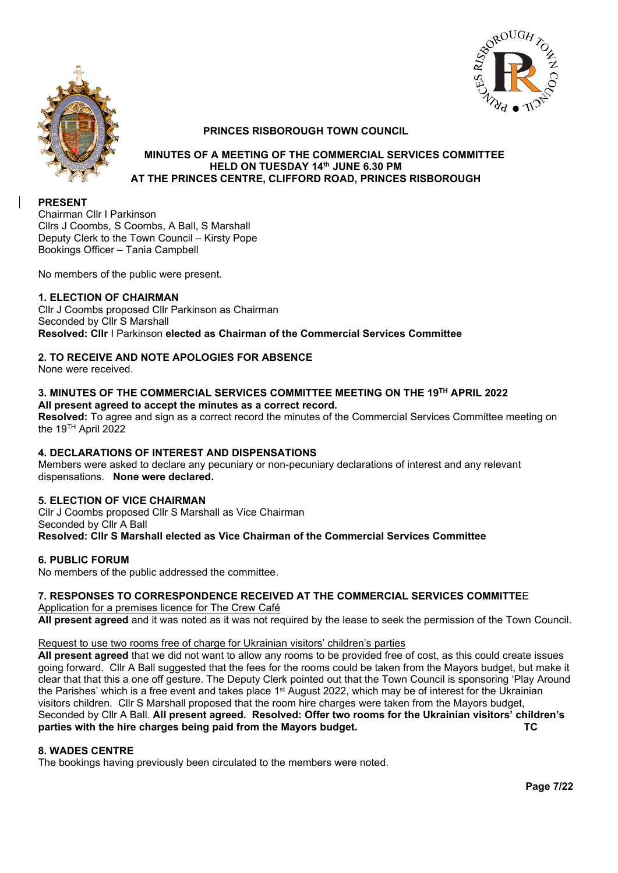



## **PRINCES RISBOROUGH TOWN COUNCIL**

#### **MINUTES OF A MEETING OF THE COMMERCIAL SERVICES COMMITTEE HELD ON TUESDAY 14th JUNE 6.30 PM AT THE PRINCES CENTRE, CLIFFORD ROAD, PRINCES RISBOROUGH**

## **PRESENT**

Chairman Cllr I Parkinson Cllrs J Coombs, S Coombs, A Ball, S Marshall Deputy Clerk to the Town Council – Kirsty Pope Bookings Officer – Tania Campbell

No members of the public were present.

# **1. ELECTION OF CHAIRMAN**

Cllr J Coombs proposed Cllr Parkinson as Chairman Seconded by Cllr S Marshall **Resolved: Cllr** I Parkinson **elected as Chairman of the Commercial Services Committee**

# **2. TO RECEIVE AND NOTE APOLOGIES FOR ABSENCE**

None were received.

#### **3. MINUTES OF THE COMMERCIAL SERVICES COMMITTEE MEETING ON THE 19TH APRIL 2022 All present agreed to accept the minutes as a correct record.**

**Resolved:** To agree and sign as a correct record the minutes of the Commercial Services Committee meeting on the 19TH April 2022

### **4. DECLARATIONS OF INTEREST AND DISPENSATIONS**

Members were asked to declare any pecuniary or non-pecuniary declarations of interest and any relevant dispensations. **None were declared.**

### **5. ELECTION OF VICE CHAIRMAN**

Cllr J Coombs proposed Cllr S Marshall as Vice Chairman Seconded by Cllr A Ball **Resolved: Cllr S Marshall elected as Vice Chairman of the Commercial Services Committee**

### **6. PUBLIC FORUM**

No members of the public addressed the committee.

### **7. RESPONSES TO CORRESPONDENCE RECEIVED AT THE COMMERCIAL SERVICES COMMITTE**E

Application for a premises licence for The Crew Café **All present agreed** and it was noted as it was not required by the lease to seek the permission of the Town Council.

### Request to use two rooms free of charge for Ukrainian visitors' children's parties

**All present agreed** that we did not want to allow any rooms to be provided free of cost, as this could create issues going forward. Cllr A Ball suggested that the fees for the rooms could be taken from the Mayors budget, but make it clear that that this a one off gesture. The Deputy Clerk pointed out that the Town Council is sponsoring 'Play Around the Parishes' which is a free event and takes place 1st August 2022, which may be of interest for the Ukrainian visitors children. Cllr S Marshall proposed that the room hire charges were taken from the Mayors budget, Seconded by Cllr A Ball. **All present agreed. Resolved: Offer two rooms for the Ukrainian visitors' children's parties with the hire charges being paid from the Mayors budget. TC**

### **8. WADES CENTRE**

The bookings having previously been circulated to the members were noted.